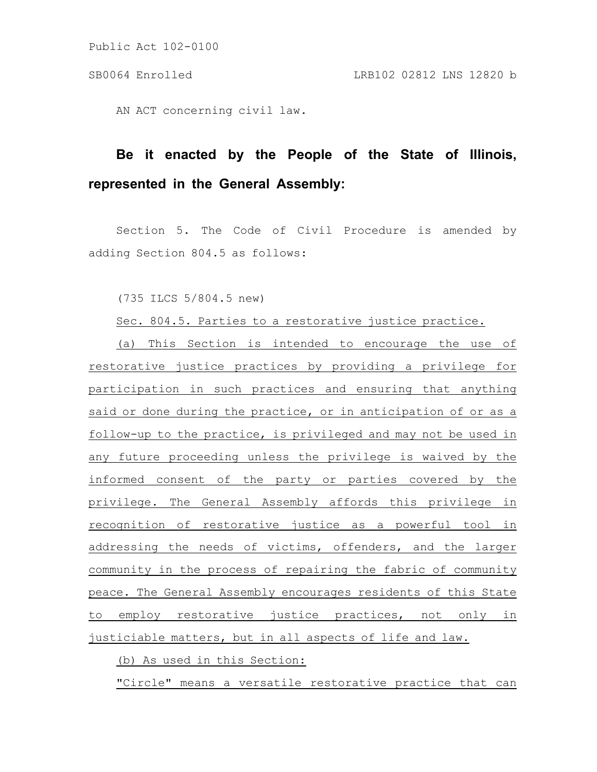Public Act 102-0100

AN ACT concerning civil law.

## **Be it enacted by the People of the State of Illinois, represented in the General Assembly:**

Section 5. The Code of Civil Procedure is amended by adding Section 804.5 as follows:

(735 ILCS 5/804.5 new)

Sec. 804.5. Parties to a restorative justice practice.

(a) This Section is intended to encourage the use of restorative justice practices by providing a privilege for participation in such practices and ensuring that anything said or done during the practice, or in anticipation of or as a follow-up to the practice, is privileged and may not be used in any future proceeding unless the privilege is waived by the informed consent of the party or parties covered by the privilege. The General Assembly affords this privilege in recognition of restorative justice as a powerful tool in addressing the needs of victims, offenders, and the larger community in the process of repairing the fabric of community peace. The General Assembly encourages residents of this State to employ restorative justice practices, not only in justiciable matters, but in all aspects of life and law.

(b) As used in this Section:

"Circle" means a versatile restorative practice that can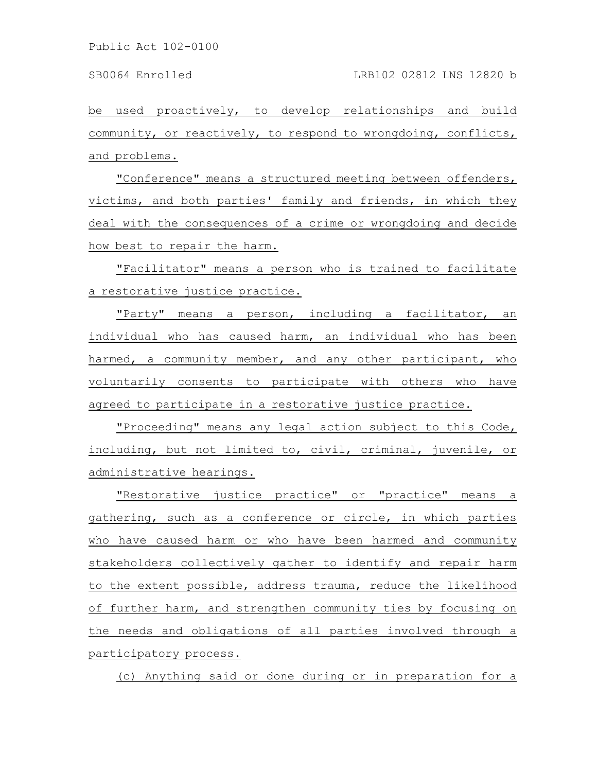be used proactively, to develop relationships and build community, or reactively, to respond to wrongdoing, conflicts, and problems.

"Conference" means a structured meeting between offenders, victims, and both parties' family and friends, in which they deal with the consequences of a crime or wrongdoing and decide how best to repair the harm.

"Facilitator" means a person who is trained to facilitate a restorative justice practice.

"Party" means a person, including a facilitator, an individual who has caused harm, an individual who has been harmed, a community member, and any other participant, who voluntarily consents to participate with others who have agreed to participate in a restorative justice practice.

"Proceeding" means any legal action subject to this Code, including, but not limited to, civil, criminal, juvenile, or administrative hearings.

"Restorative justice practice" or "practice" means a gathering, such as a conference or circle, in which parties who have caused harm or who have been harmed and community stakeholders collectively gather to identify and repair harm to the extent possible, address trauma, reduce the likelihood of further harm, and strengthen community ties by focusing on the needs and obligations of all parties involved through a participatory process.

(c) Anything said or done during or in preparation for a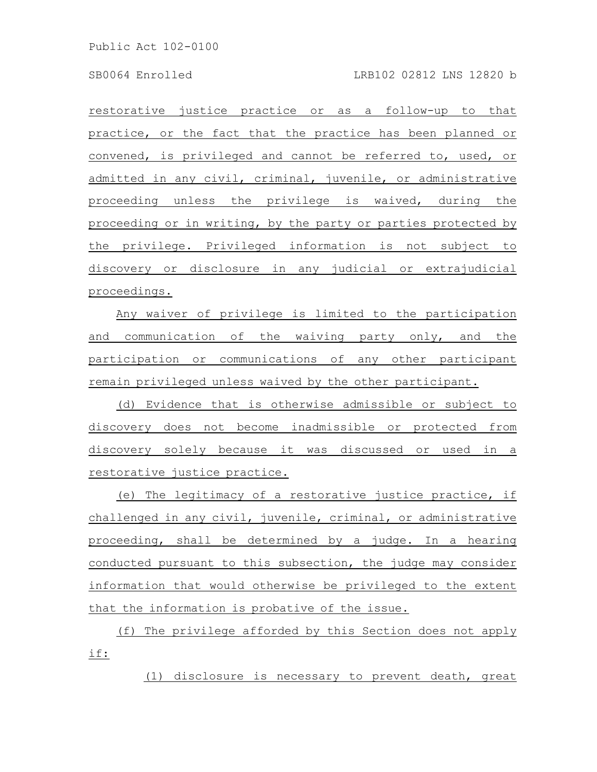Public Act 102-0100

restorative justice practice or as a follow-up to that practice, or the fact that the practice has been planned or convened, is privileged and cannot be referred to, used, or admitted in any civil, criminal, juvenile, or administrative proceeding unless the privilege is waived, during the proceeding or in writing, by the party or parties protected by the privilege. Privileged information is not subject to discovery or disclosure in any judicial or extrajudicial proceedings.

Any waiver of privilege is limited to the participation and communication of the waiving party only, and the participation or communications of any other participant remain privileged unless waived by the other participant.

(d) Evidence that is otherwise admissible or subject to discovery does not become inadmissible or protected from discovery solely because it was discussed or used in a restorative justice practice.

(e) The legitimacy of a restorative justice practice, if challenged in any civil, juvenile, criminal, or administrative proceeding, shall be determined by a judge. In a hearing conducted pursuant to this subsection, the judge may consider information that would otherwise be privileged to the extent that the information is probative of the issue.

(f) The privilege afforded by this Section does not apply if:

(1) disclosure is necessary to prevent death, great